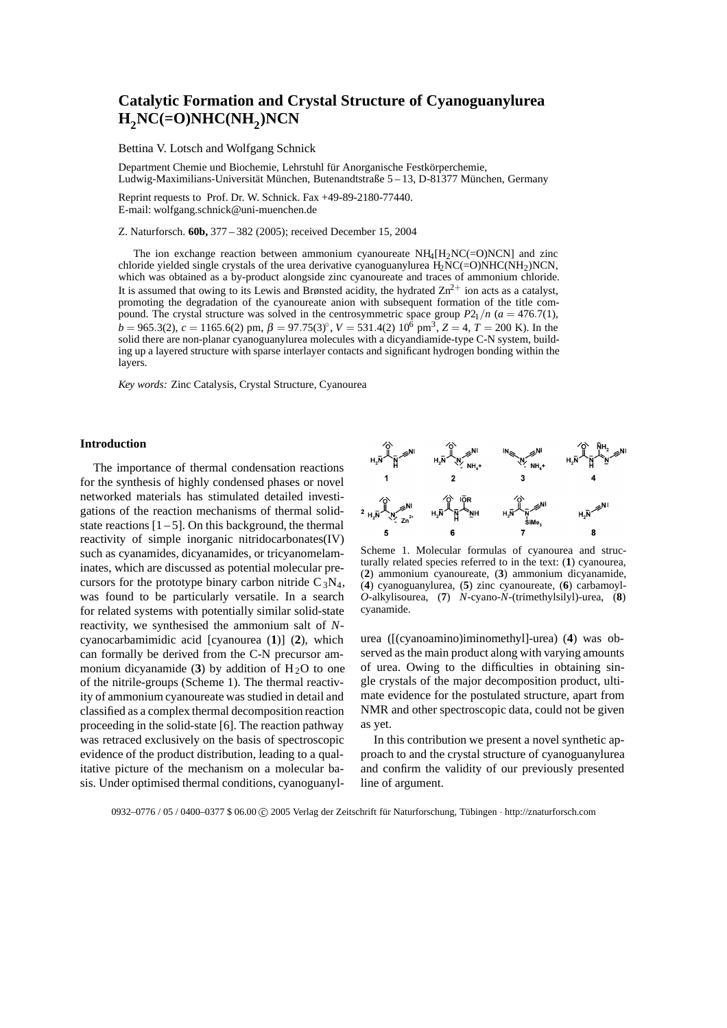# **Catalytic Formation and Crystal Structure of Cyanoguanylurea H2NC(=O)NHC(NH2)NCN**

Bettina V. Lotsch and Wolfgang Schnick

Department Chemie und Biochemie, Lehrstuhl für Anorganische Festkörperchemie, Ludwig-Maximilians-Universität München, Butenandtstraße 5 – 13, D-81377 München, Germany

Reprint requests to Prof. Dr. W. Schnick. Fax +49-89-2180-77440. E-mail: wolfgang.schnick@uni-muenchen.de

Z. Naturforsch. **60b,** 377 – 382 (2005); received December 15, 2004

The ion exchange reaction between ammonium cyanoureate  $NH_4[H_2NC(=O)NCN]$  and zinc chloride yielded single crystals of the urea derivative cyanoguanylurea  $H_2NC(=O)NHC(NH_2)NCN$ , which was obtained as a by-product alongside zinc cyanoureate and traces of ammonium chloride. It is assumed that owing to its Lewis and Brønsted acidity, the hydrated  $\text{Zn}^{2+}$  ion acts as a catalyst, promoting the degradation of the cyanoureate anion with subsequent formation of the title compound. The crystal structure was solved in the centrosymmetric space group  $P2_1/n$  ( $a = 476.7(1)$ ,  $b = 965.3(2)$ ,  $c = 1165.6(2)$  pm,  $\beta = 97.75(3)°$ ,  $V = 531.4(2) 10^{\overline{6}}$  pm<sup>3</sup>,  $Z = 4$ ,  $T = 200$  K). In the solid there are non-planar cyanoguanylurea molecules with a dicyandiamide-type C-N system, building up a layered structure with sparse interlayer contacts and significant hydrogen bonding within the layers.

*Key words:* Zinc Catalysis, Crystal Structure, Cyanourea

#### **Introduction**

The importance of thermal condensation reactions for the synthesis of highly condensed phases or novel networked materials has stimulated detailed investigations of the reaction mechanisms of thermal solidstate reactions  $[1 - 5]$ . On this background, the thermal reactivity of simple inorganic nitridocarbonates(IV) such as cyanamides, dicyanamides, or tricyanomelaminates, which are discussed as potential molecular precursors for the prototype binary carbon nitride  $C_3N_4$ , was found to be particularly versatile. In a search for related systems with potentially similar solid-state reactivity, we synthesised the ammonium salt of *N*cyanocarbamimidic acid [cyanourea (**1**)] (**2**), which can formally be derived from the C-N precursor ammonium dicyanamide (3) by addition of  $H<sub>2</sub>O$  to one of the nitrile-groups (Scheme 1). The thermal reactivity of ammonium cyanoureate was studied in detail and classified as a complex thermal decomposition reaction proceeding in the solid-state [6]. The reaction pathway was retraced exclusively on the basis of spectroscopic evidence of the product distribution, leading to a qualitative picture of the mechanism on a molecular basis. Under optimised thermal conditions, cyanoguanyl-



Scheme 1. Molecular formulas of cyanourea and structurally related species referred to in the text: (**1**) cyanourea, (**2**) ammonium cyanoureate, (**3**) ammonium dicyanamide, (**4**) cyanoguanylurea, (**5**) zinc cyanoureate, (**6**) carbamoyl-*O*-alkylisourea, (**7**) *N*-cyano-*N*-(trimethylsilyl)-urea, (**8**) cyanamide.

urea ([(cyanoamino)iminomethyl]-urea) (**4**) was observed as the main product along with varying amounts of urea. Owing to the difficulties in obtaining single crystals of the major decomposition product, ultimate evidence for the postulated structure, apart from NMR and other spectroscopic data, could not be given as yet.

In this contribution we present a novel synthetic approach to and the crystal structure of cyanoguanylurea and confirm the validity of our previously presented line of argument.

0932–0776 / 05 / 0400–0377 \$ 06.00 C 2005 Verlag der Zeitschrift für Naturforschung, Tübingen · http://znaturforsch.com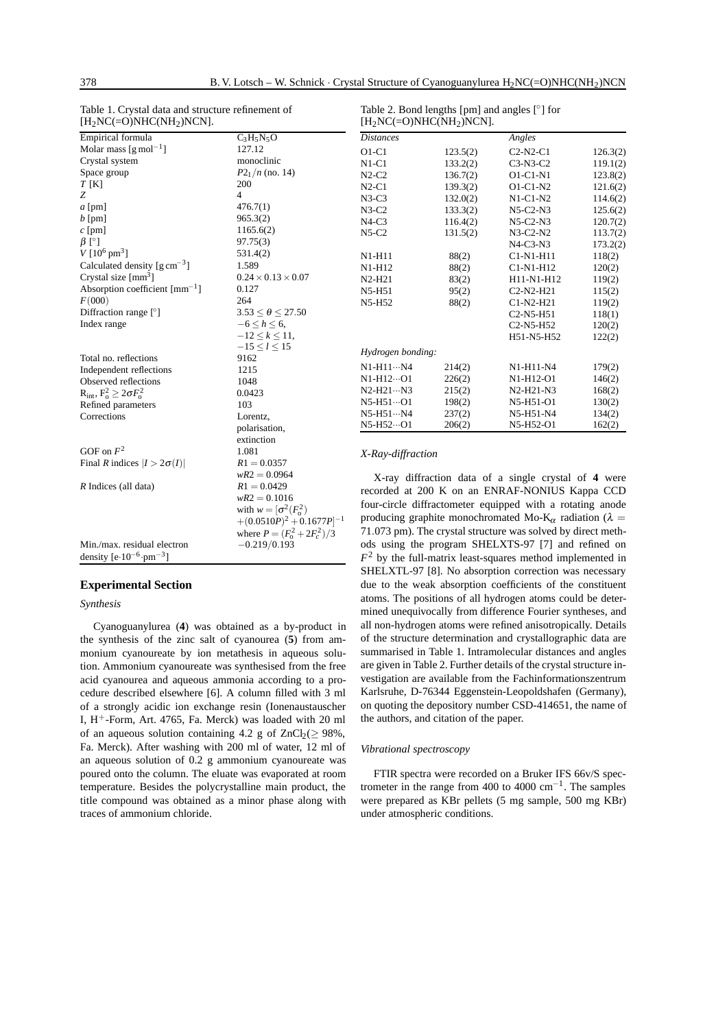| Table 1. Crystal data and structure refinement of<br>$[H2NC(=O)NHC(NH2)NCN].$ |                                | Table 2. Bond lengths [pm] and angles $\lceil \circ \rceil$ for<br>$[H2NC(=O)NHC(NH2)NCN].$                                                                                                                               |                                                                                                        |                                                 |          |  |
|-------------------------------------------------------------------------------|--------------------------------|---------------------------------------------------------------------------------------------------------------------------------------------------------------------------------------------------------------------------|--------------------------------------------------------------------------------------------------------|-------------------------------------------------|----------|--|
| Empirical formula                                                             | $C_3H_5N_5O$                   | <b>Distances</b>                                                                                                                                                                                                          |                                                                                                        | Angles                                          |          |  |
| Molar mass $\left[\text{g mol}^{-1}\right]$                                   | 127.12                         | $O1-C1$                                                                                                                                                                                                                   | 123.5(2)                                                                                               | $C2-N2-C1$                                      | 126.3(2) |  |
| Crystal system                                                                | monoclinic                     | $N1-C1$                                                                                                                                                                                                                   | 133.2(2)                                                                                               | $C3-N3-C2$                                      | 119.1(2) |  |
| Space group                                                                   | $P2_1/n$ (no. 14)              | $N2-C2$                                                                                                                                                                                                                   | 136.7(2)                                                                                               | O1-C1-N1                                        | 123.8(2) |  |
| $T$ [K]                                                                       | 200                            | $N2-C1$                                                                                                                                                                                                                   | 139.3(2)                                                                                               | $O1-C1-N2$                                      | 121.6(2) |  |
| Z                                                                             | $\overline{4}$                 | $N3-C3$                                                                                                                                                                                                                   | 132.0(2)                                                                                               | $N1-C1-N2$                                      | 114.6(2) |  |
| $a$ [pm]                                                                      | 476.7(1)                       | $N3-C2$                                                                                                                                                                                                                   | 133.3(2)                                                                                               | $N5-C2-N3$                                      | 125.6(2) |  |
| $b$ [pm]                                                                      | 965.3(2)                       | $N4-C3$                                                                                                                                                                                                                   | 116.4(2)                                                                                               | $N5-C2-N3$                                      | 120.7(2) |  |
| $c$ [pm]                                                                      | 1165.6(2)                      | $N5-C2$                                                                                                                                                                                                                   | 131.5(2)                                                                                               | $N3-C2-N2$                                      | 113.7(2) |  |
| $\beta$ [°]                                                                   | 97.75(3)                       |                                                                                                                                                                                                                           |                                                                                                        | $N4-C3-N3$                                      | 173.2(2) |  |
| $V [10^6 \text{ pm}^3]$                                                       | 531.4(2)                       | N1-H11                                                                                                                                                                                                                    | 88(2)                                                                                                  | C1-N1-H11                                       | 118(2)   |  |
| Calculated density $\left[\text{g cm}^{-3}\right]$                            | 1.589                          | N1-H12                                                                                                                                                                                                                    | 88(2)                                                                                                  | C1-N1-H12                                       | 120(2)   |  |
| Crystal size $\text{[mm}^3$ ]                                                 | $0.24 \times 0.13 \times 0.07$ | $N2-H21$                                                                                                                                                                                                                  | 83(2)                                                                                                  | H11-N1-H12                                      | 119(2)   |  |
| Absorption coefficient $[mm^{-1}]$                                            | 0.127                          | N5-H51                                                                                                                                                                                                                    | 95(2)                                                                                                  | C <sub>2</sub> -N <sub>2</sub> -H <sub>21</sub> | 115(2)   |  |
| F(000)                                                                        | 264                            | N5-H52                                                                                                                                                                                                                    | 88(2)                                                                                                  | $C1-N2-H21$                                     | 119(2)   |  |
| Diffraction range $\lceil \cdot \rceil$                                       | $3.53 < \theta < 27.50$        |                                                                                                                                                                                                                           |                                                                                                        | C <sub>2</sub> -N <sub>5</sub> -H <sub>51</sub> | 118(1)   |  |
| Index range                                                                   | $-6 \leq h \leq 6$ ,           |                                                                                                                                                                                                                           |                                                                                                        | C <sub>2</sub> -N <sub>5</sub> -H <sub>52</sub> | 120(2)   |  |
|                                                                               | $-12 \le k \le 11$ ,           |                                                                                                                                                                                                                           |                                                                                                        | H51-N5-H52                                      | 122(2)   |  |
|                                                                               | $-15 < l < 15$                 | Hydrogen bonding:                                                                                                                                                                                                         |                                                                                                        |                                                 |          |  |
| Total no. reflections                                                         | 9162                           |                                                                                                                                                                                                                           |                                                                                                        |                                                 |          |  |
| Independent reflections                                                       | 1215                           | $N1-H11\cdots N4$                                                                                                                                                                                                         | 214(2)                                                                                                 | N1-H11-N4                                       | 179(2)   |  |
| Observed reflections                                                          | 1048                           | N1-H12…O1                                                                                                                                                                                                                 | 226(2)                                                                                                 | N1-H12-O1                                       | 146(2)   |  |
| $R_{int}, F_o^2 \geq 2\sigma F_o^2$                                           | 0.0423                         | $N2-H21\cdots N3$                                                                                                                                                                                                         | 215(2)                                                                                                 | N2-H21-N3                                       | 168(2)   |  |
| Refined parameters                                                            | 103                            | $N5-H51\cdots$ O1                                                                                                                                                                                                         | 198(2)                                                                                                 | N5-H51-O1                                       | 130(2)   |  |
| Corrections                                                                   | Lorentz,                       | $N5-H51N4$                                                                                                                                                                                                                | 237(2)                                                                                                 | N5-H51-N4                                       | 134(2)   |  |
|                                                                               | polarisation,                  | N5-H52 ··· O1                                                                                                                                                                                                             | 206(2)                                                                                                 | N5-H52-O1                                       | 162(2)   |  |
|                                                                               | extinction                     |                                                                                                                                                                                                                           |                                                                                                        |                                                 |          |  |
| GOF on $F^2$                                                                  | 1.081                          | X-Ray-diffraction                                                                                                                                                                                                         |                                                                                                        |                                                 |          |  |
| Final R indices $ I  > 2\sigma(I) $                                           | $R1 = 0.0357$                  |                                                                                                                                                                                                                           |                                                                                                        |                                                 |          |  |
|                                                                               | $wR2 = 0.0964$                 |                                                                                                                                                                                                                           | X-ray diffraction data of a single crystal of 4 were<br>recorded at 200 K on an ENRAF-NONIUS Kappa CCD |                                                 |          |  |
| $R$ Indices (all data)                                                        | $R1 = 0.0429$                  |                                                                                                                                                                                                                           |                                                                                                        |                                                 |          |  |
|                                                                               | $wR2 = 0.1016$                 | four-circle diffractometer equipped with a rotating anode<br>producing graphite monochromated Mo-K <sub><math>\alpha</math></sub> radiation ( $\lambda$ =<br>71.073 pm). The crystal structure was solved by direct meth- |                                                                                                        |                                                 |          |  |
|                                                                               | with $w = [\sigma^2(F_0^2)]$   |                                                                                                                                                                                                                           |                                                                                                        |                                                 |          |  |
|                                                                               | $+(0.0510P)^2+0.1677P]^{-1}$   |                                                                                                                                                                                                                           |                                                                                                        |                                                 |          |  |
|                                                                               | where $P = (F_0^2 + 2F_c^2)/3$ |                                                                                                                                                                                                                           |                                                                                                        |                                                 |          |  |

# density  $[e \cdot 10^{-6} \cdot pm^{-3}]$

Min./max. residual electron  $-0.219/0.193$ 

# **Experimental Section**

# *Synthesis*

Cyanoguanylurea (**4**) was obtained as a by-product in the synthesis of the zinc salt of cyanourea (**5**) from ammonium cyanoureate by ion metathesis in aqueous solution. Ammonium cyanoureate was synthesised from the free acid cyanourea and aqueous ammonia according to a procedure described elsewhere [6]. A column filled with 3 ml of a strongly acidic ion exchange resin (Ionenaustauscher I,  $H^+$ -Form, Art. 4765, Fa. Merck) was loaded with 20 ml of an aqueous solution containing 4.2 g of  $ZnCl<sub>2</sub>(\geq 98\%$ , Fa. Merck). After washing with 200 ml of water, 12 ml of an aqueous solution of 0.2 g ammonium cyanoureate was poured onto the column. The eluate was evaporated at room temperature. Besides the polycrystalline main product, the title compound was obtained as a minor phase along with traces of ammonium chloride.

recorded at 200 K on an ENRAF-NONIUS Kappa CCD four-circle diffractometer equipped with a rotating anode producing graphite monochromated Mo-K<sub>α</sub> radiation ( $\lambda =$ 71*.*073 pm). The crystal structure was solved by direct methods using the program SHELXTS-97 [7] and refined on  $F<sup>2</sup>$  by the full-matrix least-squares method implemented in SHELXTL-97 [8]. No absorption correction was necessary due to the weak absorption coefficients of the constituent atoms. The positions of all hydrogen atoms could be determined unequivocally from difference Fourier syntheses, and all non-hydrogen atoms were refined anisotropically. Details of the structure determination and crystallographic data are summarised in Table 1. Intramolecular distances and angles are given in Table 2. Further details of the crystal structure investigation are available from the Fachinformationszentrum Karlsruhe, D-76344 Eggenstein-Leopoldshafen (Germany), on quoting the depository number CSD-414651, the name of the authors, and citation of the paper.

#### *Vibrational spectroscopy*

FTIR spectra were recorded on a Bruker IFS 66v/S spectrometer in the range from 400 to 4000 cm−1. The samples were prepared as KBr pellets (5 mg sample, 500 mg KBr) under atmospheric conditions.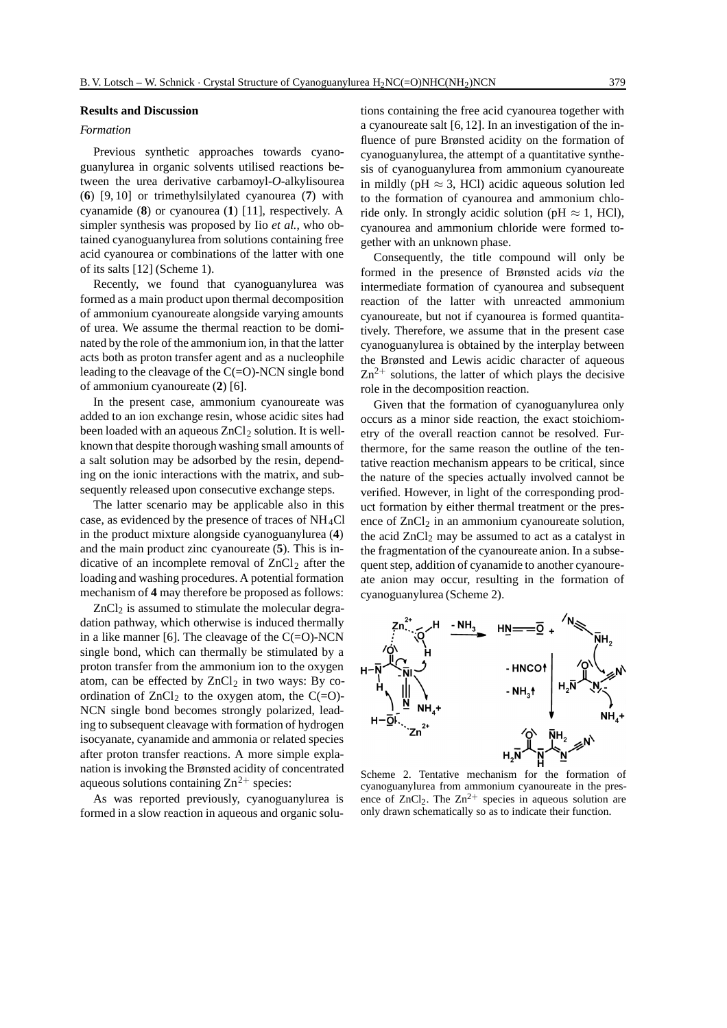#### **Results and Discussion**

### *Formation*

Previous synthetic approaches towards cyanoguanylurea in organic solvents utilised reactions between the urea derivative carbamoyl-*O*-alkylisourea (**6**) [9, 10] or trimethylsilylated cyanourea (**7**) with cyanamide (**8**) or cyanourea (**1**) [11], respectively. A simpler synthesis was proposed by Iio *et al.*, who obtained cyanoguanylurea from solutions containing free acid cyanourea or combinations of the latter with one of its salts [12] (Scheme 1).

Recently, we found that cyanoguanylurea was formed as a main product upon thermal decomposition of ammonium cyanoureate alongside varying amounts of urea. We assume the thermal reaction to be dominated by the role of the ammonium ion, in that the latter acts both as proton transfer agent and as a nucleophile leading to the cleavage of the  $C(=O)$ -NCN single bond of ammonium cyanoureate (**2**) [6].

In the present case, ammonium cyanoureate was added to an ion exchange resin, whose acidic sites had been loaded with an aqueous  $ZnCl<sub>2</sub>$  solution. It is wellknown that despite thorough washing small amounts of a salt solution may be adsorbed by the resin, depending on the ionic interactions with the matrix, and subsequently released upon consecutive exchange steps.

The latter scenario may be applicable also in this case, as evidenced by the presence of traces of NH4Cl in the product mixture alongside cyanoguanylurea (**4**) and the main product zinc cyanoureate (**5**). This is indicative of an incomplete removal of  $ZnCl<sub>2</sub>$  after the loading and washing procedures. A potential formation mechanism of **4** may therefore be proposed as follows:

 $ZnCl<sub>2</sub>$  is assumed to stimulate the molecular degradation pathway, which otherwise is induced thermally in a like manner [6]. The cleavage of the  $C(=O)$ -NCN single bond, which can thermally be stimulated by a proton transfer from the ammonium ion to the oxygen atom, can be effected by  $ZnCl<sub>2</sub>$  in two ways: By coordination of  $ZnCl<sub>2</sub>$  to the oxygen atom, the C(=O)-NCN single bond becomes strongly polarized, leading to subsequent cleavage with formation of hydrogen isocyanate, cyanamide and ammonia or related species after proton transfer reactions. A more simple explanation is invoking the Brønsted acidity of concentrated aqueous solutions containing  $\text{Zn}^{2+}$  species:

As was reported previously, cyanoguanylurea is formed in a slow reaction in aqueous and organic solutions containing the free acid cyanourea together with a cyanoureate salt [6, 12]. In an investigation of the influence of pure Brønsted acidity on the formation of cyanoguanylurea, the attempt of a quantitative synthesis of cyanoguanylurea from ammonium cyanoureate in mildly (pH  $\approx$  3, HCl) acidic aqueous solution led to the formation of cyanourea and ammonium chloride only. In strongly acidic solution (pH  $\approx$  1, HCl), cyanourea and ammonium chloride were formed together with an unknown phase.

Consequently, the title compound will only be formed in the presence of Brønsted acids *via* the intermediate formation of cyanourea and subsequent reaction of the latter with unreacted ammonium cyanoureate, but not if cyanourea is formed quantitatively. Therefore, we assume that in the present case cyanoguanylurea is obtained by the interplay between the Brønsted and Lewis acidic character of aqueous  $Zn^{2+}$  solutions, the latter of which plays the decisive role in the decomposition reaction.

Given that the formation of cyanoguanylurea only occurs as a minor side reaction, the exact stoichiometry of the overall reaction cannot be resolved. Furthermore, for the same reason the outline of the tentative reaction mechanism appears to be critical, since the nature of the species actually involved cannot be verified. However, in light of the corresponding product formation by either thermal treatment or the presence of  $ZnCl<sub>2</sub>$  in an ammonium cyanoureate solution, the acid  $ZnCl<sub>2</sub>$  may be assumed to act as a catalyst in the fragmentation of the cyanoureate anion. In a subsequent step, addition of cyanamide to another cyanoureate anion may occur, resulting in the formation of cyanoguanylurea (Scheme 2).



Scheme 2. Tentative mechanism for the formation of cyanoguanylurea from ammonium cyanoureate in the presence of  $ZnCl<sub>2</sub>$ . The  $Zn<sup>2+</sup>$  species in aqueous solution are only drawn schematically so as to indicate their function.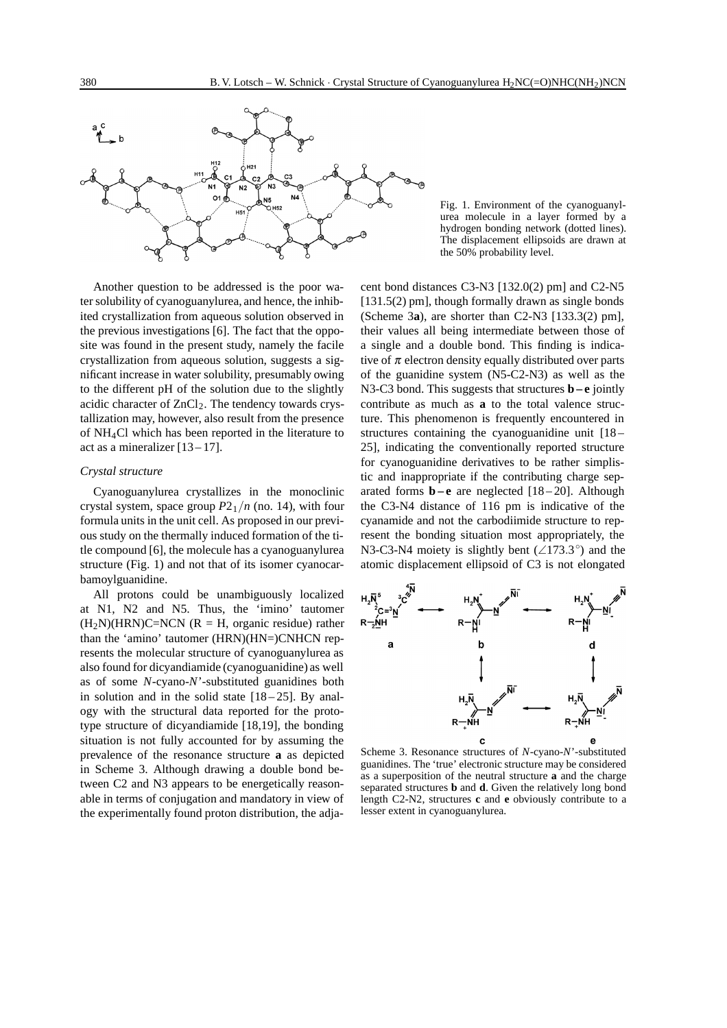

Another question to be addressed is the poor water solubility of cyanoguanylurea, and hence, the inhibited crystallization from aqueous solution observed in the previous investigations [6]. The fact that the opposite was found in the present study, namely the facile crystallization from aqueous solution, suggests a significant increase in water solubility, presumably owing to the different pH of the solution due to the slightly acidic character of  $ZnCl<sub>2</sub>$ . The tendency towards crystallization may, however, also result from the presence of NH4Cl which has been reported in the literature to act as a mineralizer  $[13 - 17]$ .

#### *Crystal structure*

Cyanoguanylurea crystallizes in the monoclinic crystal system, space group  $P2_1/n$  (no. 14), with four formula units in the unit cell. As proposed in our previous study on the thermally induced formation of the title compound [6], the molecule has a cyanoguanylurea structure (Fig. 1) and not that of its isomer cyanocarbamoylguanidine.

All protons could be unambiguously localized at N1, N2 and N5. Thus, the 'imino' tautomer  $(H<sub>2</sub>N)(HRN)C=NCN$  (R = H, organic residue) rather than the 'amino' tautomer (HRN)(HN=)CNHCN represents the molecular structure of cyanoguanylurea as also found for dicyandiamide (cyanoguanidine) as well as of some *N*-cyano-*N*'-substituted guanidines both in solution and in the solid state  $[18-25]$ . By analogy with the structural data reported for the prototype structure of dicyandiamide [18,19], the bonding situation is not fully accounted for by assuming the prevalence of the resonance structure **a** as depicted in Scheme 3. Although drawing a double bond between C2 and N3 appears to be energetically reasonable in terms of conjugation and mandatory in view of the experimentally found proton distribution, the adja-

Fig. 1. Environment of the cyanoguanylurea molecule in a layer formed by a hydrogen bonding network (dotted lines). The displacement ellipsoids are drawn at the 50% probability level.

cent bond distances C3-N3 [132.0(2) pm] and C2-N5 [131.5(2) pm], though formally drawn as single bonds (Scheme 3**a**), are shorter than C2-N3 [133.3(2) pm], their values all being intermediate between those of a single and a double bond. This finding is indicative of  $\pi$  electron density equally distributed over parts of the guanidine system (N5-C2-N3) as well as the N3-C3 bond. This suggests that structures **b–e** jointly contribute as much as **a** to the total valence structure. This phenomenon is frequently encountered in structures containing the cyanoguanidine unit [18 – 25], indicating the conventionally reported structure for cyanoguanidine derivatives to be rather simplistic and inappropriate if the contributing charge separated forms **b–e** are neglected [18 – 20]. Although the C3-N4 distance of 116 pm is indicative of the cyanamide and not the carbodiimide structure to represent the bonding situation most appropriately, the N3-C3-N4 moiety is slightly bent (∠173*.*3◦) and the atomic displacement ellipsoid of C3 is not elongated



Scheme 3. Resonance structures of *N*-cyano-*N*'-substituted guanidines. The 'true' electronic structure may be considered as a superposition of the neutral structure **a** and the charge separated structures **b** and **d**. Given the relatively long bond length C2-N2, structures **c** and **e** obviously contribute to a lesser extent in cyanoguanylurea.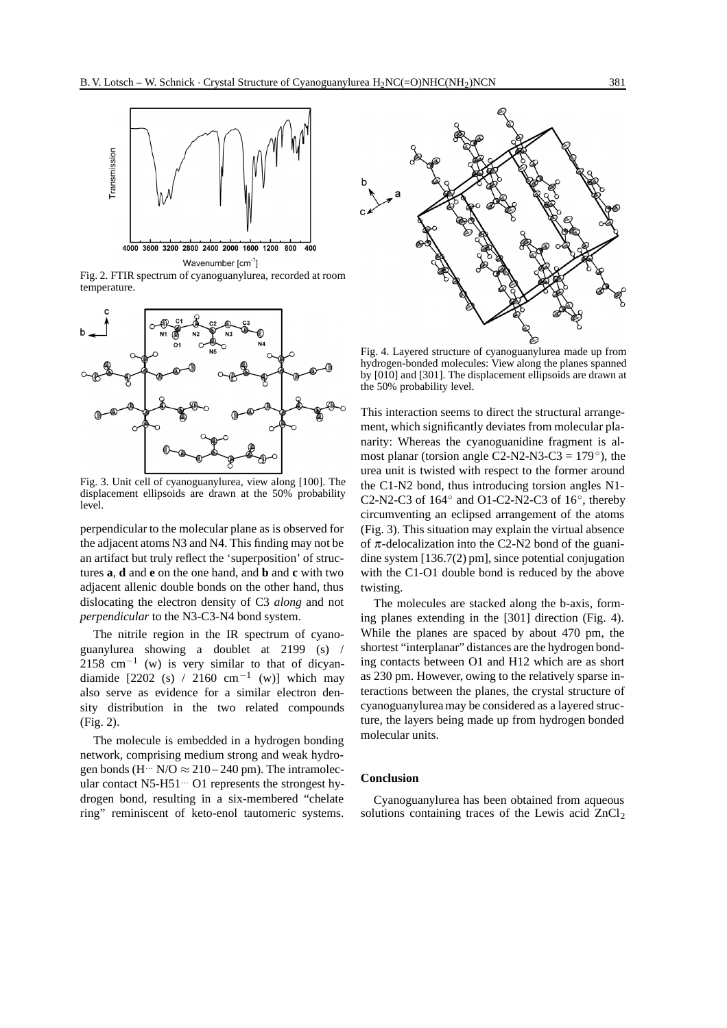

Fig. 2. FTIR spectrum of cyanoguanylurea, recorded at room temperature.



Fig. 3. Unit cell of cyanoguanylurea, view along [100]. The displacement ellipsoids are drawn at the 50% probability level.

perpendicular to the molecular plane as is observed for the adjacent atoms N3 and N4. This finding may not be an artifact but truly reflect the 'superposition' of structures **a**, **d** and **e** on the one hand, and **b** and **c** with two adjacent allenic double bonds on the other hand, thus dislocating the electron density of C3 *along* and not *perpendicular* to the N3-C3-N4 bond system.

The nitrile region in the IR spectrum of cyanoguanylurea showing a doublet at 2199 (s) / 2158 cm<sup>-1</sup> (w) is very similar to that of dicyandiamide  $[2202 (s) / 2160 cm^{-1} (w)]$  which may also serve as evidence for a similar electron density distribution in the two related compounds (Fig. 2).

The molecule is embedded in a hydrogen bonding network, comprising medium strong and weak hydrogen bonds (H<sup> $\cdots$ </sup> N/O  $\approx$  210 – 240 pm). The intramolecular contact N5-H51<sup>...</sup> O1 represents the strongest hydrogen bond, resulting in a six-membered "chelate ring" reminiscent of keto-enol tautomeric systems.



Fig. 4. Layered structure of cyanoguanylurea made up from hydrogen-bonded molecules: View along the planes spanned by [010] and [301]. The displacement ellipsoids are drawn at the 50% probability level.

This interaction seems to direct the structural arrangement, which significantly deviates from molecular planarity: Whereas the cyanoguanidine fragment is almost planar (torsion angle C2-N2-N3-C3 =  $179°$ ), the urea unit is twisted with respect to the former around the C1-N2 bond, thus introducing torsion angles N1- C2-N2-C3 of  $164°$  and O1-C2-N2-C3 of  $16°$ , thereby circumventing an eclipsed arrangement of the atoms (Fig. 3). This situation may explain the virtual absence of  $\pi$ -delocalization into the C2-N2 bond of the guanidine system [136.7(2) pm], since potential conjugation with the C1-O1 double bond is reduced by the above twisting.

The molecules are stacked along the b-axis, forming planes extending in the [301] direction (Fig. 4). While the planes are spaced by about 470 pm, the shortest "interplanar" distances are the hydrogen bonding contacts between O1 and H12 which are as short as 230 pm. However, owing to the relatively sparse interactions between the planes, the crystal structure of cyanoguanylurea may be considered as a layered structure, the layers being made up from hydrogen bonded molecular units.

# **Conclusion**

Cyanoguanylurea has been obtained from aqueous solutions containing traces of the Lewis acid  $ZnCl<sub>2</sub>$